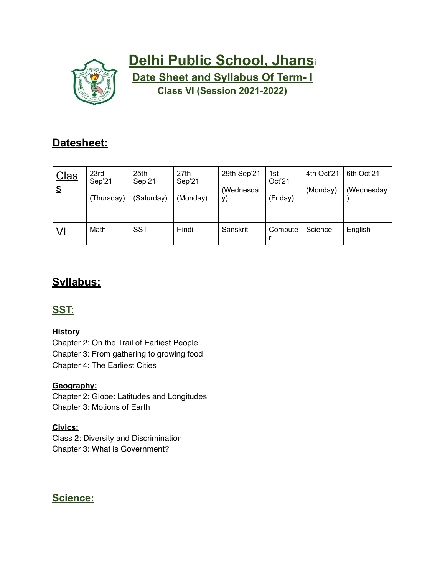

# **Delhi Public School, Jhans**<sup>i</sup> **Date Sheet and Syllabus Of Term- I Class VI (Session 2021-2022)**

## **Datesheet:**

| <b>Clas</b><br>$\underline{\underline{s}}$ | 23rd<br>Sep'21<br>(Thursday) | 25th<br>Sep'21<br>(Saturday) | 27th<br>Sep'21<br>(Monday) | 29th Sep'21<br>(Wednesda<br>y) | 1st<br>Oct'21<br>(Friday) | 4th Oct'21<br>(Monday) | 6th Oct'21<br>(Wednesday |
|--------------------------------------------|------------------------------|------------------------------|----------------------------|--------------------------------|---------------------------|------------------------|--------------------------|
| VI                                         | Math                         | SST                          | Hindi                      | Sanskrit                       | Compute                   | Science                | English                  |

## **Syllabus:**

### **SST:**

#### **History**

Chapter 2: On the Trail of Earliest People Chapter 3: From gathering to growing food Chapter 4: The Earliest Cities

#### **Geography:**

Chapter 2: Globe: Latitudes and Longitudes Chapter 3: Motions of Earth

#### **Civics:**

Class 2: Diversity and Discrimination Chapter 3: What is Government?

#### **Science:**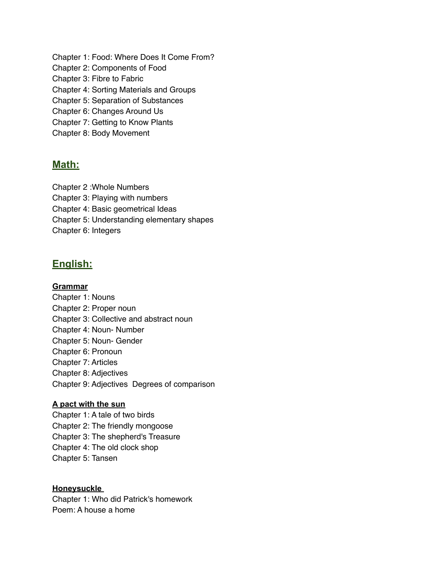Chapter 1: Food: Where Does It Come From? Chapter 2: Components of Food Chapter 3: Fibre to Fabric Chapter 4: Sorting Materials and Groups Chapter 5: Separation of Substances Chapter 6: Changes Around Us Chapter 7: Getting to Know Plants Chapter 8: Body Movement

#### **Math:**

Chapter 2 :Whole Numbers

Chapter 3: Playing with numbers

Chapter 4: Basic geometrical Ideas

Chapter 5: Understanding elementary shapes

Chapter 6: Integers

#### **English:**

#### **Grammar**

Chapter 1: Nouns Chapter 2: Proper noun Chapter 3: Collective and abstract noun Chapter 4: Noun- Number Chapter 5: Noun- Gender Chapter 6: Pronoun Chapter 7: Articles Chapter 8: Adjectives Chapter 9: Adjectives Degrees of comparison

#### **A pact with the sun**

Chapter 1: A tale of two birds Chapter 2: The friendly mongoose Chapter 3: The shepherd's Treasure Chapter 4: The old clock shop Chapter 5: Tansen

#### **Honeysuckle**

Chapter 1: Who did Patrick's homework Poem: A house a home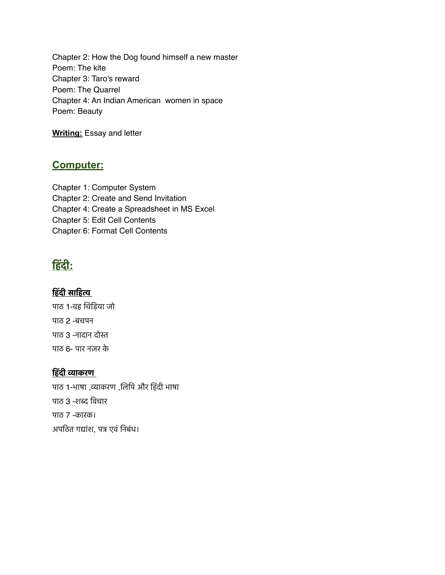Chapter 2: How the Dog found himself a new master Poem: The kite Chapter 3: Taro's reward Poem: The Quarrel Chapter 4: An Indian American women in space Poem: Beauty

**Writing:** Essay and letter

#### **Computer:**

Chapter 1: Computer System Chapter 2: Create and Send Invitation Chapter 4: Create a Spreadsheet in MS Excel Chapter 5: Edit Cell Contents Chapter 6: Format Cell Contents

### **हिंदी:**

#### **हिंदी साहित्य**

पाठ 1-वह चिड़िया जो पाठ 2 -बचपन पाठ 3 -नादान दोस्त पाठ 6- पार नज़र के

#### **हिंदी व्याकरण**

पाठ 1-भाषा ,व्याकरण ,लिपि और हिंदी भाषा पाठ 3 -शब्द विचार पाठ 7 -कारक। अपठित गद्यांश, पत्र एवं निबंध।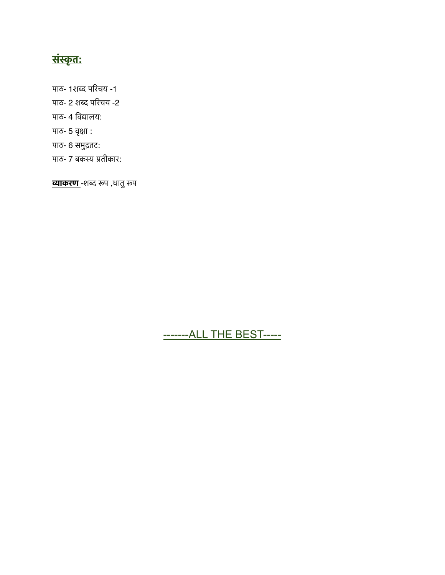# **संस्कृत:**

पाठ- 1शब्द परिचय -1

- पाठ- 2 शब्द परिचय -2
- पाठ- 4 विद्यालय:
- पाठ- 5 वृक्षा :
- पाठ- 6 समुद्रतट:
- पाठ- 7 बकस्य प्रतीकार:

**व्याकरण** -शब्द रूप ,धातु रूप

### -------ALL THE BEST-----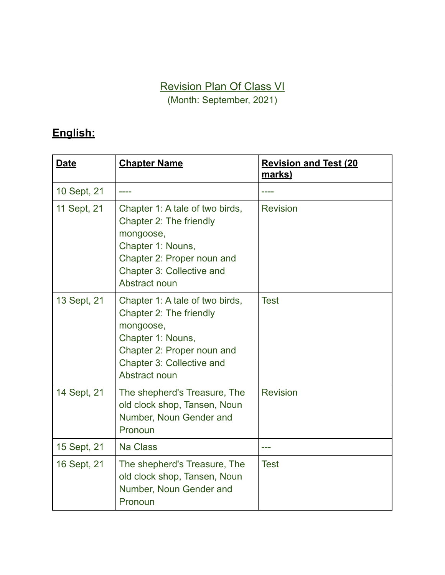Revision Plan Of Class VI

(Month: September, 2021)

# **English:**

| <b>Date</b> | <b>Chapter Name</b>                                                                                                                                                      | <b>Revision and Test (20</b><br><u>marks)</u> |
|-------------|--------------------------------------------------------------------------------------------------------------------------------------------------------------------------|-----------------------------------------------|
| 10 Sept, 21 |                                                                                                                                                                          |                                               |
| 11 Sept, 21 | Chapter 1: A tale of two birds,<br>Chapter 2: The friendly<br>mongoose,<br>Chapter 1: Nouns,<br>Chapter 2: Proper noun and<br>Chapter 3: Collective and<br>Abstract noun | <b>Revision</b>                               |
| 13 Sept, 21 | Chapter 1: A tale of two birds,<br>Chapter 2: The friendly<br>mongoose,<br>Chapter 1: Nouns,<br>Chapter 2: Proper noun and<br>Chapter 3: Collective and<br>Abstract noun | <b>Test</b>                                   |
| 14 Sept, 21 | The shepherd's Treasure, The<br>old clock shop, Tansen, Noun<br>Number, Noun Gender and<br>Pronoun                                                                       | <b>Revision</b>                               |
| 15 Sept, 21 | <b>Na Class</b>                                                                                                                                                          |                                               |
| 16 Sept, 21 | The shepherd's Treasure, The<br>old clock shop, Tansen, Noun<br>Number, Noun Gender and<br>Pronoun                                                                       | <b>Test</b>                                   |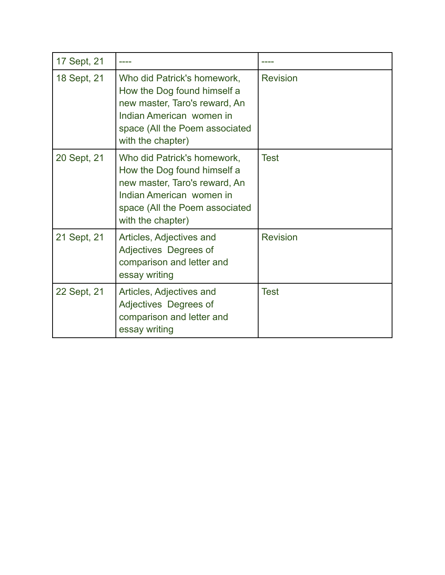| 17 Sept, 21 |                                                                                                                                                                                |                 |
|-------------|--------------------------------------------------------------------------------------------------------------------------------------------------------------------------------|-----------------|
| 18 Sept, 21 | Who did Patrick's homework,<br>How the Dog found himself a<br>new master, Taro's reward, An<br>Indian American women in<br>space (All the Poem associated<br>with the chapter) | <b>Revision</b> |
| 20 Sept, 21 | Who did Patrick's homework,<br>How the Dog found himself a<br>new master, Taro's reward, An<br>Indian American women in<br>space (All the Poem associated<br>with the chapter) | <b>Test</b>     |
| 21 Sept, 21 | Articles, Adjectives and<br>Adjectives Degrees of<br>comparison and letter and<br>essay writing                                                                                | <b>Revision</b> |
| 22 Sept, 21 | Articles, Adjectives and<br>Adjectives Degrees of<br>comparison and letter and<br>essay writing                                                                                | <b>Test</b>     |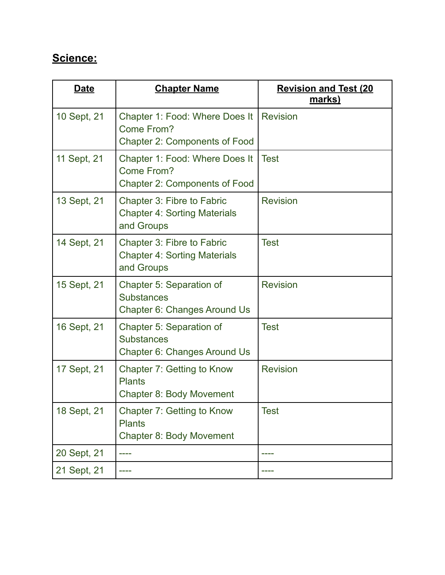## **Science:**

| Date        | <b>Chapter Name</b>                                                                  | <b>Revision and Test (20</b><br>marks) |
|-------------|--------------------------------------------------------------------------------------|----------------------------------------|
| 10 Sept, 21 | Chapter 1: Food: Where Does It<br>Come From?<br><b>Chapter 2: Components of Food</b> | <b>Revision</b>                        |
| 11 Sept, 21 | Chapter 1: Food: Where Does It<br>Come From?<br><b>Chapter 2: Components of Food</b> | <b>Test</b>                            |
| 13 Sept, 21 | Chapter 3: Fibre to Fabric<br><b>Chapter 4: Sorting Materials</b><br>and Groups      | <b>Revision</b>                        |
| 14 Sept, 21 | Chapter 3: Fibre to Fabric<br><b>Chapter 4: Sorting Materials</b><br>and Groups      | <b>Test</b>                            |
| 15 Sept, 21 | Chapter 5: Separation of<br><b>Substances</b><br>Chapter 6: Changes Around Us        | <b>Revision</b>                        |
| 16 Sept, 21 | Chapter 5: Separation of<br><b>Substances</b><br><b>Chapter 6: Changes Around Us</b> | <b>Test</b>                            |
| 17 Sept, 21 | Chapter 7: Getting to Know<br><b>Plants</b><br><b>Chapter 8: Body Movement</b>       | <b>Revision</b>                        |
| 18 Sept, 21 | Chapter 7: Getting to Know<br><b>Plants</b><br><b>Chapter 8: Body Movement</b>       | <b>Test</b>                            |
| 20 Sept, 21 |                                                                                      |                                        |
| 21 Sept, 21 |                                                                                      |                                        |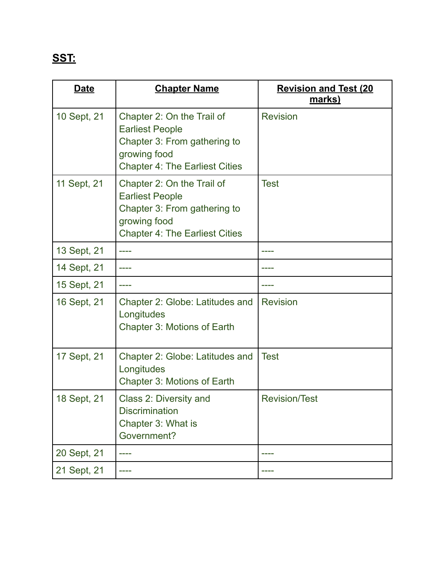# **SST:**

| <b>Date</b> | <b>Chapter Name</b>                                                                                                                           | <b>Revision and Test (20</b><br>marks) |
|-------------|-----------------------------------------------------------------------------------------------------------------------------------------------|----------------------------------------|
| 10 Sept, 21 | Chapter 2: On the Trail of<br><b>Earliest People</b><br>Chapter 3: From gathering to<br>growing food<br><b>Chapter 4: The Earliest Cities</b> | <b>Revision</b>                        |
| 11 Sept, 21 | Chapter 2: On the Trail of<br><b>Earliest People</b><br>Chapter 3: From gathering to<br>growing food<br><b>Chapter 4: The Earliest Cities</b> | <b>Test</b>                            |
| 13 Sept, 21 |                                                                                                                                               |                                        |
| 14 Sept, 21 |                                                                                                                                               |                                        |
| 15 Sept, 21 |                                                                                                                                               |                                        |
| 16 Sept, 21 | Chapter 2: Globe: Latitudes and<br>Longitudes<br><b>Chapter 3: Motions of Earth</b>                                                           | <b>Revision</b>                        |
| 17 Sept, 21 | Chapter 2: Globe: Latitudes and<br>Longitudes<br>Chapter 3: Motions of Earth                                                                  | <b>Test</b>                            |
| 18 Sept, 21 | Class 2: Diversity and<br><b>Discrimination</b><br>Chapter 3: What is<br>Government?                                                          | <b>Revision/Test</b>                   |
| 20 Sept, 21 |                                                                                                                                               |                                        |
| 21 Sept, 21 |                                                                                                                                               |                                        |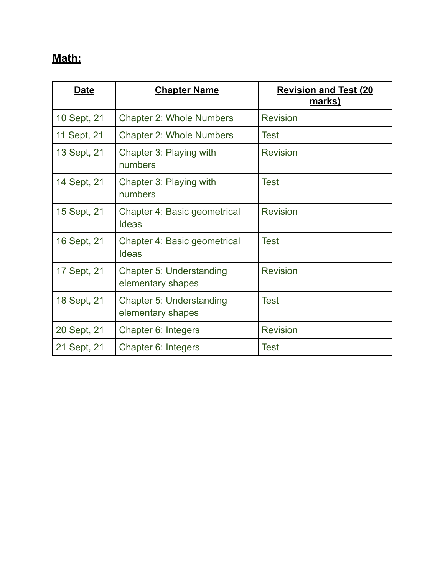# **Math:**

| <b>Date</b> | <b>Chapter Name</b>                           | <b>Revision and Test (20)</b><br><u>marks)</u> |
|-------------|-----------------------------------------------|------------------------------------------------|
| 10 Sept, 21 | <b>Chapter 2: Whole Numbers</b>               | <b>Revision</b>                                |
| 11 Sept, 21 | <b>Chapter 2: Whole Numbers</b>               | <b>Test</b>                                    |
| 13 Sept, 21 | Chapter 3: Playing with<br>numbers            | <b>Revision</b>                                |
| 14 Sept, 21 | Chapter 3: Playing with<br>numbers            | Test                                           |
| 15 Sept, 21 | Chapter 4: Basic geometrical<br><b>Ideas</b>  | <b>Revision</b>                                |
| 16 Sept, 21 | Chapter 4: Basic geometrical<br><b>Ideas</b>  | <b>Test</b>                                    |
| 17 Sept, 21 | Chapter 5: Understanding<br>elementary shapes | <b>Revision</b>                                |
| 18 Sept, 21 | Chapter 5: Understanding<br>elementary shapes | <b>Test</b>                                    |
| 20 Sept, 21 | Chapter 6: Integers                           | <b>Revision</b>                                |
| 21 Sept, 21 | Chapter 6: Integers                           | <b>Test</b>                                    |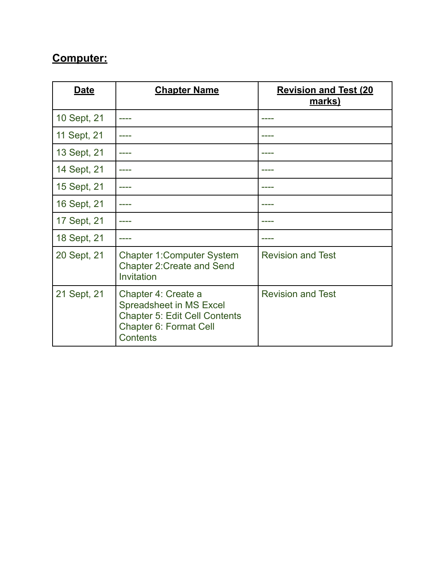# **Computer:**

| Date        | <b>Chapter Name</b>                                                                                                                 | <b>Revision and Test (20</b><br>marks) |
|-------------|-------------------------------------------------------------------------------------------------------------------------------------|----------------------------------------|
| 10 Sept, 21 |                                                                                                                                     |                                        |
| 11 Sept, 21 |                                                                                                                                     |                                        |
| 13 Sept, 21 |                                                                                                                                     |                                        |
| 14 Sept, 21 |                                                                                                                                     |                                        |
| 15 Sept, 21 |                                                                                                                                     |                                        |
| 16 Sept, 21 |                                                                                                                                     |                                        |
| 17 Sept, 21 |                                                                                                                                     |                                        |
| 18 Sept, 21 |                                                                                                                                     |                                        |
| 20 Sept, 21 | <b>Chapter 1: Computer System</b><br><b>Chapter 2: Create and Send</b><br>Invitation                                                | <b>Revision and Test</b>               |
| 21 Sept, 21 | Chapter 4: Create a<br>Spreadsheet in MS Excel<br><b>Chapter 5: Edit Cell Contents</b><br>Chapter 6: Format Cell<br><b>Contents</b> | <b>Revision and Test</b>               |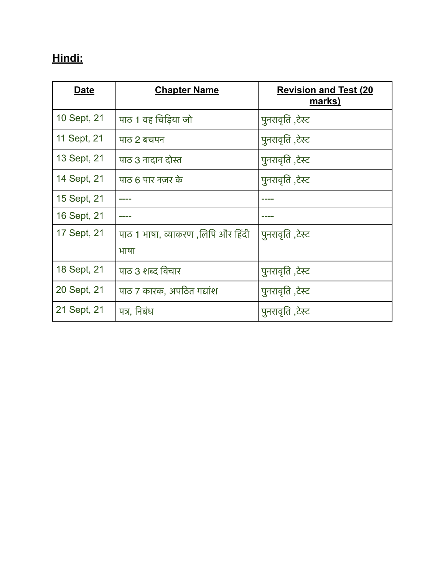# **Hindi:**

| <b>Date</b> | <b>Chapter Name</b>                        | <b>Revision and Test (20</b><br><u>marks)</u> |
|-------------|--------------------------------------------|-----------------------------------------------|
| 10 Sept, 21 | पाठ 1 वह चिडिया जो                         | पुनरावृति ,टेस्ट                              |
| 11 Sept, 21 | पाठ 2 बचपन                                 | पुनरावृति ,टेस्ट                              |
| 13 Sept, 21 | पाठ 3 नादान दोस्त                          | पुनरावृति ,टेस्ट                              |
| 14 Sept, 21 | पाठ 6 पार नज़र के                          | पुनरावृति ,टेस्ट                              |
| 15 Sept, 21 |                                            |                                               |
| 16 Sept, 21 |                                            |                                               |
| 17 Sept, 21 | पाठ 1 भाषा, व्याकरण ,लिपि और हिंदी<br>भाषा | पुनरावृति ,टेस्ट                              |
|             |                                            |                                               |
| 18 Sept, 21 | पाठ 3 शब्द विचार                           | पुनरावृति ,टेस्ट                              |
| 20 Sept, 21 | पाठ 7 कारक, अपठित गद्यांश                  | पुनरावृति ,टेस्ट                              |
| 21 Sept, 21 | पत्र, निबंध                                | पुनरावृति ,टेस्ट                              |